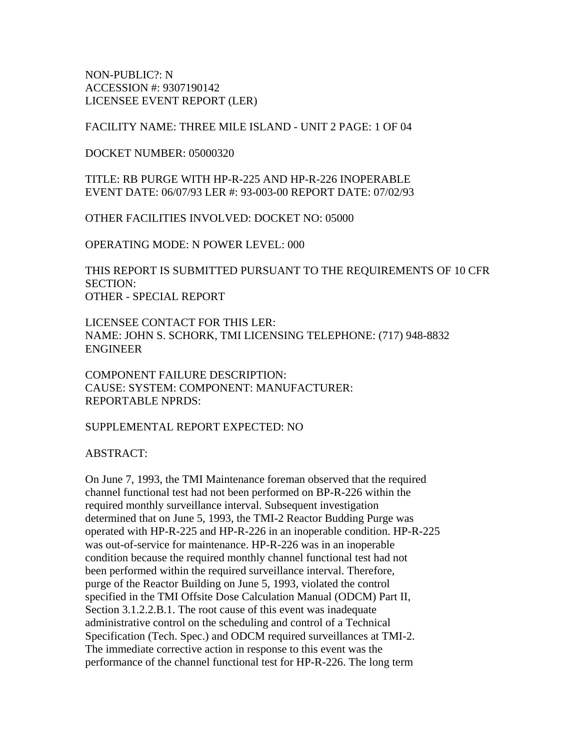NON-PUBLIC?: N ACCESSION #: 9307190142 LICENSEE EVENT REPORT (LER)

FACILITY NAME: THREE MILE ISLAND - UNIT 2 PAGE: 1 OF 04

DOCKET NUMBER: 05000320

TITLE: RB PURGE WITH HP-R-225 AND HP-R-226 INOPERABLE EVENT DATE: 06/07/93 LER #: 93-003-00 REPORT DATE: 07/02/93

OTHER FACILITIES INVOLVED: DOCKET NO: 05000

OPERATING MODE: N POWER LEVEL: 000

THIS REPORT IS SUBMITTED PURSUANT TO THE REQUIREMENTS OF 10 CFR SECTION: OTHER - SPECIAL REPORT

LICENSEE CONTACT FOR THIS LER: NAME: JOHN S. SCHORK, TMI LICENSING TELEPHONE: (717) 948-8832 ENGINEER

COMPONENT FAILURE DESCRIPTION: CAUSE: SYSTEM: COMPONENT: MANUFACTURER: REPORTABLE NPRDS:

SUPPLEMENTAL REPORT EXPECTED: NO

ABSTRACT:

On June 7, 1993, the TMI Maintenance foreman observed that the required channel functional test had not been performed on BP-R-226 within the required monthly surveillance interval. Subsequent investigation determined that on June 5, 1993, the TMI-2 Reactor Budding Purge was operated with HP-R-225 and HP-R-226 in an inoperable condition. HP-R-225 was out-of-service for maintenance. HP-R-226 was in an inoperable condition because the required monthly channel functional test had not been performed within the required surveillance interval. Therefore, purge of the Reactor Building on June 5, 1993, violated the control specified in the TMI Offsite Dose Calculation Manual (ODCM) Part II, Section 3.1.2.2.B.1. The root cause of this event was inadequate administrative control on the scheduling and control of a Technical Specification (Tech. Spec.) and ODCM required surveillances at TMI-2. The immediate corrective action in response to this event was the performance of the channel functional test for HP-R-226. The long term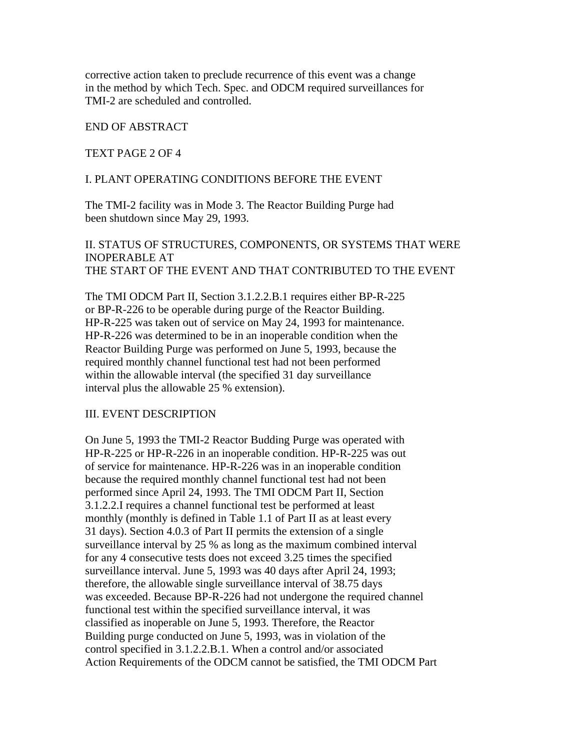corrective action taken to preclude recurrence of this event was a change in the method by which Tech. Spec. and ODCM required surveillances for TMI-2 are scheduled and controlled.

## END OF ABSTRACT

#### TEXT PAGE 2 OF 4

#### I. PLANT OPERATING CONDITIONS BEFORE THE EVENT

The TMI-2 facility was in Mode 3. The Reactor Building Purge had been shutdown since May 29, 1993.

# II. STATUS OF STRUCTURES, COMPONENTS, OR SYSTEMS THAT WERE INOPERABLE AT THE START OF THE EVENT AND THAT CONTRIBUTED TO THE EVENT

The TMI ODCM Part II, Section 3.1.2.2.B.1 requires either BP-R-225 or BP-R-226 to be operable during purge of the Reactor Building. HP-R-225 was taken out of service on May 24, 1993 for maintenance. HP-R-226 was determined to be in an inoperable condition when the Reactor Building Purge was performed on June 5, 1993, because the required monthly channel functional test had not been performed within the allowable interval (the specified 31 day surveillance interval plus the allowable 25 % extension).

#### III. EVENT DESCRIPTION

On June 5, 1993 the TMI-2 Reactor Budding Purge was operated with HP-R-225 or HP-R-226 in an inoperable condition. HP-R-225 was out of service for maintenance. HP-R-226 was in an inoperable condition because the required monthly channel functional test had not been performed since April 24, 1993. The TMI ODCM Part II, Section 3.1.2.2.I requires a channel functional test be performed at least monthly (monthly is defined in Table 1.1 of Part II as at least every 31 days). Section 4.0.3 of Part II permits the extension of a single surveillance interval by 25 % as long as the maximum combined interval for any 4 consecutive tests does not exceed 3.25 times the specified surveillance interval. June 5, 1993 was 40 days after April 24, 1993; therefore, the allowable single surveillance interval of 38.75 days was exceeded. Because BP-R-226 had not undergone the required channel functional test within the specified surveillance interval, it was classified as inoperable on June 5, 1993. Therefore, the Reactor Building purge conducted on June 5, 1993, was in violation of the control specified in 3.1.2.2.B.1. When a control and/or associated Action Requirements of the ODCM cannot be satisfied, the TMI ODCM Part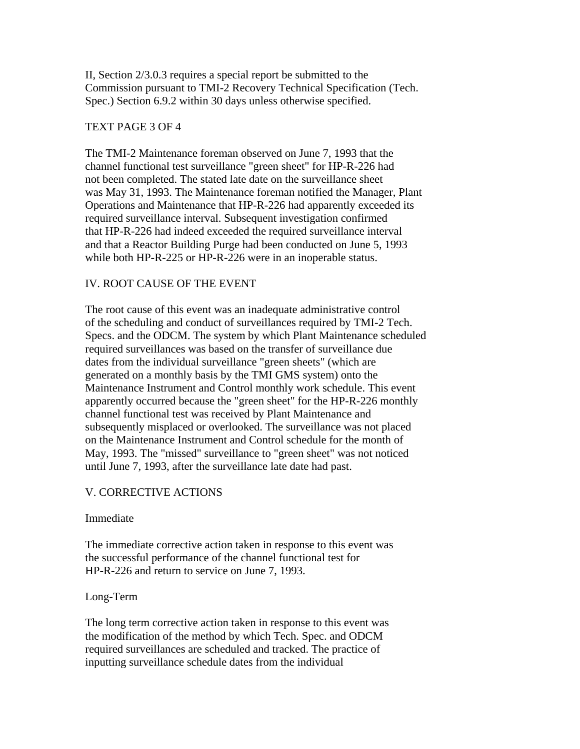II, Section 2/3.0.3 requires a special report be submitted to the Commission pursuant to TMI-2 Recovery Technical Specification (Tech. Spec.) Section 6.9.2 within 30 days unless otherwise specified.

## TEXT PAGE 3 OF 4

The TMI-2 Maintenance foreman observed on June 7, 1993 that the channel functional test surveillance "green sheet" for HP-R-226 had not been completed. The stated late date on the surveillance sheet was May 31, 1993. The Maintenance foreman notified the Manager, Plant Operations and Maintenance that HP-R-226 had apparently exceeded its required surveillance interval. Subsequent investigation confirmed that HP-R-226 had indeed exceeded the required surveillance interval and that a Reactor Building Purge had been conducted on June 5, 1993 while both HP-R-225 or HP-R-226 were in an inoperable status.

## IV. ROOT CAUSE OF THE EVENT

The root cause of this event was an inadequate administrative control of the scheduling and conduct of surveillances required by TMI-2 Tech. Specs. and the ODCM. The system by which Plant Maintenance scheduled required surveillances was based on the transfer of surveillance due dates from the individual surveillance "green sheets" (which are generated on a monthly basis by the TMI GMS system) onto the Maintenance Instrument and Control monthly work schedule. This event apparently occurred because the "green sheet" for the HP-R-226 monthly channel functional test was received by Plant Maintenance and subsequently misplaced or overlooked. The surveillance was not placed on the Maintenance Instrument and Control schedule for the month of May, 1993. The "missed" surveillance to "green sheet" was not noticed until June 7, 1993, after the surveillance late date had past.

## V. CORRECTIVE ACTIONS

Immediate

The immediate corrective action taken in response to this event was the successful performance of the channel functional test for HP-R-226 and return to service on June 7, 1993.

#### Long-Term

The long term corrective action taken in response to this event was the modification of the method by which Tech. Spec. and ODCM required surveillances are scheduled and tracked. The practice of inputting surveillance schedule dates from the individual